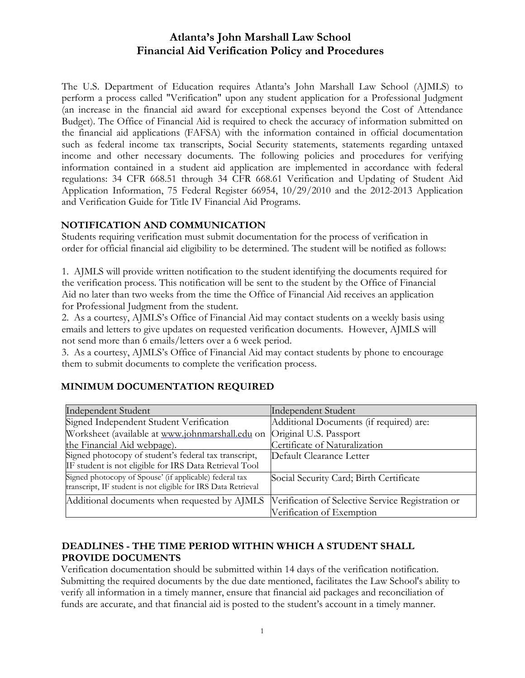# Atlanta's John Marshall Law School Financial Aid Verification Policy and Procedures

The U.S. Department of Education requires Atlanta's John Marshall Law School (AJMLS) to perform a process called "Verification" upon any student application for a Professional Judgment (an increase in the financial aid award for exceptional expenses beyond the Cost of Attendance Budget). The Office of Financial Aid is required to check the accuracy of information submitted on the financial aid applications (FAFSA) with the information contained in official documentation such as federal income tax transcripts, Social Security statements, statements regarding untaxed income and other necessary documents. The following policies and procedures for verifying information contained in a student aid application are implemented in accordance with federal regulations: 34 CFR 668.51 through 34 CFR 668.61 Verification and Updating of Student Aid Application Information, 75 Federal Register 66954, 10/29/2010 and the 2012-2013 Application and Verification Guide for Title IV Financial Aid Programs.

#### NOTIFICATION AND COMMUNICATION

Students requiring verification must submit documentation for the process of verification in order for official financial aid eligibility to be determined. The student will be notified as follows:

1. AJMLS will provide written notification to the student identifying the documents required for the verification process. This notification will be sent to the student by the Office of Financial Aid no later than two weeks from the time the Office of Financial Aid receives an application for Professional Judgment from the student.

2. As a courtesy, AJMLS's Office of Financial Aid may contact students on a weekly basis using emails and letters to give updates on requested verification documents. However, AJMLS will not send more than 6 emails/letters over a 6 week period.

3. As a courtesy, AJMLS's Office of Financial Aid may contact students by phone to encourage them to submit documents to complete the verification process.

## MINIMUM DOCUMENTATION REQUIRED

| <b>Independent Student</b>                                                                                               | Independent Student                               |
|--------------------------------------------------------------------------------------------------------------------------|---------------------------------------------------|
| Signed Independent Student Verification                                                                                  | Additional Documents (if required) are:           |
| Worksheet (available at www.johnmarshall.edu on                                                                          | Original U.S. Passport                            |
| the Financial Aid webpage).                                                                                              | Certificate of Naturalization                     |
| Signed photocopy of student's federal tax transcript,                                                                    | Default Clearance Letter                          |
| IF student is not eligible for IRS Data Retrieval Tool                                                                   |                                                   |
| Signed photocopy of Spouse' (if applicable) federal tax<br>transcript, IF student is not eligible for IRS Data Retrieval | Social Security Card; Birth Certificate           |
| Additional documents when requested by AJMLS                                                                             | Verification of Selective Service Registration or |
|                                                                                                                          | Verification of Exemption                         |

## DEADLINES - THE TIME PERIOD WITHIN WHICH A STUDENT SHALL PROVIDE DOCUMENTS

Verification documentation should be submitted within 14 days of the verification notification. Submitting the required documents by the due date mentioned, facilitates the Law School's ability to verify all information in a timely manner, ensure that financial aid packages and reconciliation of funds are accurate, and that financial aid is posted to the student's account in a timely manner.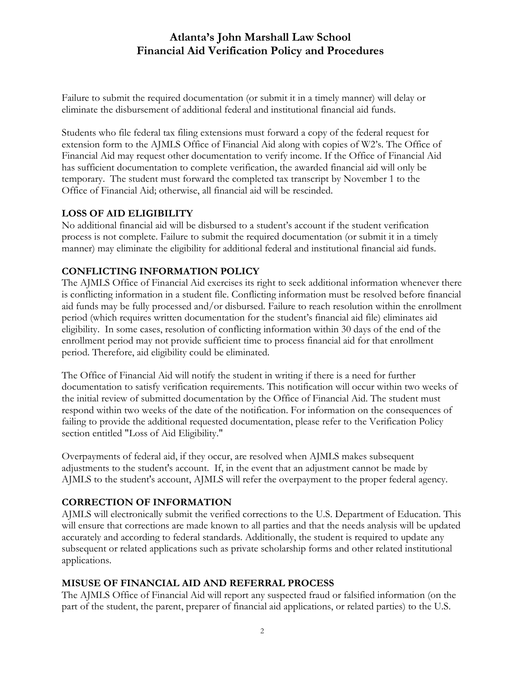# Atlanta's John Marshall Law School Financial Aid Verification Policy and Procedures

Failure to submit the required documentation (or submit it in a timely manner) will delay or eliminate the disbursement of additional federal and institutional financial aid funds.

Students who file federal tax filing extensions must forward a copy of the federal request for extension form to the AJMLS Office of Financial Aid along with copies of W2's. The Office of Financial Aid may request other documentation to verify income. If the Office of Financial Aid has sufficient documentation to complete verification, the awarded financial aid will only be temporary. The student must forward the completed tax transcript by November 1 to the Office of Financial Aid; otherwise, all financial aid will be rescinded.

#### LOSS OF AID ELIGIBILITY

No additional financial aid will be disbursed to a student's account if the student verification process is not complete. Failure to submit the required documentation (or submit it in a timely manner) may eliminate the eligibility for additional federal and institutional financial aid funds.

#### CONFLICTING INFORMATION POLICY

The AJMLS Office of Financial Aid exercises its right to seek additional information whenever there is conflicting information in a student file. Conflicting information must be resolved before financial aid funds may be fully processed and/or disbursed. Failure to reach resolution within the enrollment period (which requires written documentation for the student's financial aid file) eliminates aid eligibility. In some cases, resolution of conflicting information within 30 days of the end of the enrollment period may not provide sufficient time to process financial aid for that enrollment period. Therefore, aid eligibility could be eliminated.

The Office of Financial Aid will notify the student in writing if there is a need for further documentation to satisfy verification requirements. This notification will occur within two weeks of the initial review of submitted documentation by the Office of Financial Aid. The student must respond within two weeks of the date of the notification. For information on the consequences of failing to provide the additional requested documentation, please refer to the Verification Policy section entitled "Loss of Aid Eligibility."

Overpayments of federal aid, if they occur, are resolved when AJMLS makes subsequent adjustments to the student's account. If, in the event that an adjustment cannot be made by AJMLS to the student's account, AJMLS will refer the overpayment to the proper federal agency.

## CORRECTION OF INFORMATION

AJMLS will electronically submit the verified corrections to the U.S. Department of Education. This will ensure that corrections are made known to all parties and that the needs analysis will be updated accurately and according to federal standards. Additionally, the student is required to update any subsequent or related applications such as private scholarship forms and other related institutional applications.

## MISUSE OF FINANCIAL AID AND REFERRAL PROCESS

The AJMLS Office of Financial Aid will report any suspected fraud or falsified information (on the part of the student, the parent, preparer of financial aid applications, or related parties) to the U.S.